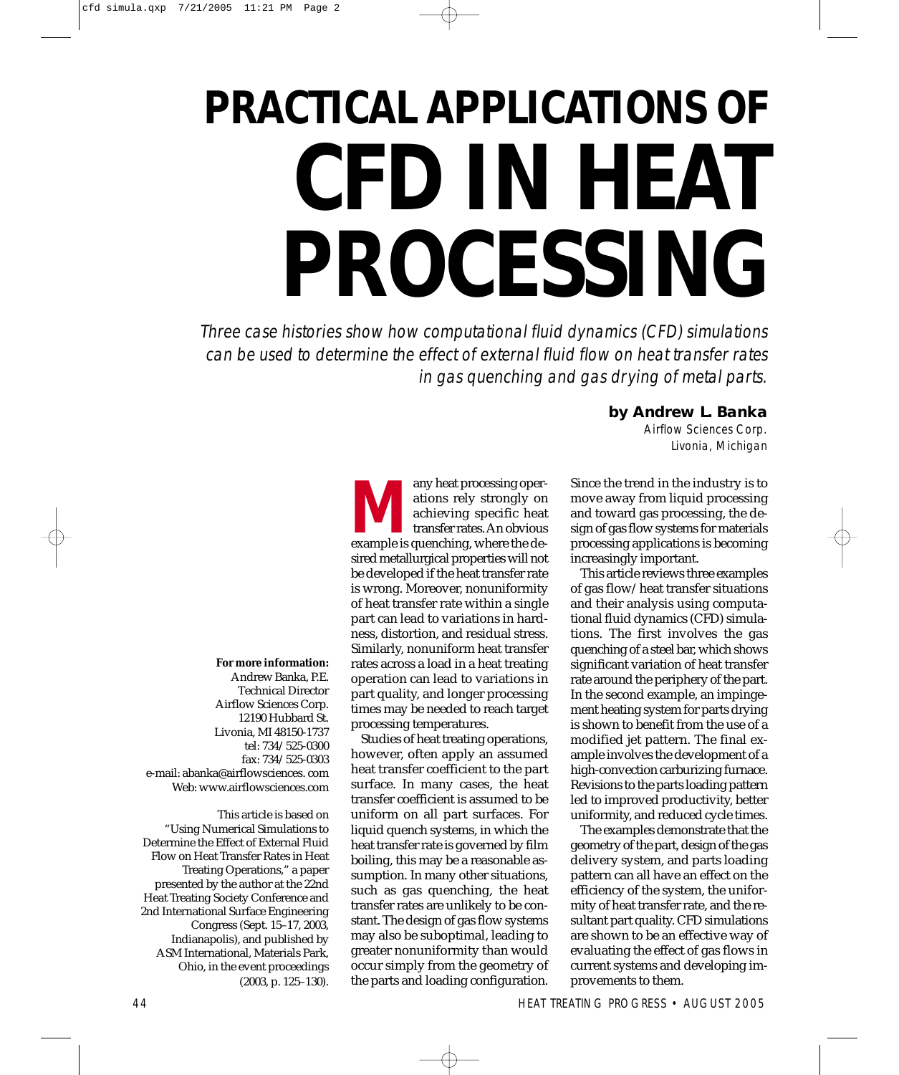# **PRACTICAL APPLICATIONS OF CFD IN HEAT PROCESSING**

Three case histories show how computational fluid dynamics (CFD) simulations can be used to determine the effect of external fluid flow on heat transfer rates in gas quenching and gas drying of metal parts.

**For more information:** 

Andrew Banka, P.E. Technical Director Airflow Sciences Corp. 12190 Hubbard St. Livonia, MI 48150-1737 tel: 734/525-0300 fax: 734/525-0303 e-mail: abanka@airflowsciences. com Web: www.airflowsciences.com

This article is based on "Using Numerical Simulations to Determine the Effect of External Fluid Flow on Heat Transfer Rates in Heat Treating Operations," a paper presented by the author at the 22nd Heat Treating Society Conference and 2nd International Surface Engineering Congress (Sept. 15–17, 2003, Indianapolis), and published by ASM International, Materials Park, Ohio, in the event proceedings (2003, p. 125–130).

**MAN**<br>
any heat processing oper-<br>
ations rely strongly on<br>
achieving specific heat<br>
transfer rates. An obvious<br>
example is quenching, where the deations rely strongly on achieving specific heat transfer rates. An obvious sired metallurgical properties will not be developed if the heat transfer rate is wrong. Moreover, nonuniformity of heat transfer rate within a single part can lead to variations in hardness, distortion, and residual stress. Similarly, nonuniform heat transfer rates across a load in a heat treating operation can lead to variations in part quality, and longer processing times may be needed to reach target processing temperatures.

Studies of heat treating operations, however, often apply an assumed heat transfer coefficient to the part surface. In many cases, the heat transfer coefficient is assumed to be uniform on all part surfaces. For liquid quench systems, in which the heat transfer rate is governed by film boiling, this may be a reasonable assumption. In many other situations, such as gas quenching, the heat transfer rates are unlikely to be constant. The design of gas flow systems may also be suboptimal, leading to greater nonuniformity than would occur simply from the geometry of the parts and loading configuration.

### **by Andrew L. Banka**

Airflow Sciences Corp. Livonia, Michigan

Since the trend in the industry is to move away from liquid processing and toward gas processing, the design of gas flow systems for materials processing applications is becoming increasingly important.

This article reviews three examples of gas flow/heat transfer situations and their analysis using computational fluid dynamics (CFD) simulations. The first involves the gas quenching of a steel bar, which shows significant variation of heat transfer rate around the periphery of the part. In the second example, an impingement heating system for parts drying is shown to benefit from the use of a modified jet pattern. The final example involves the development of a high-convection carburizing furnace. Revisions to the parts loading pattern led to improved productivity, better uniformity, and reduced cycle times.

The examples demonstrate that the geometry of the part, design of the gas delivery system, and parts loading pattern can all have an effect on the efficiency of the system, the uniformity of heat transfer rate, and the resultant part quality. CFD simulations are shown to be an effective way of evaluating the effect of gas flows in current systems and developing improvements to them.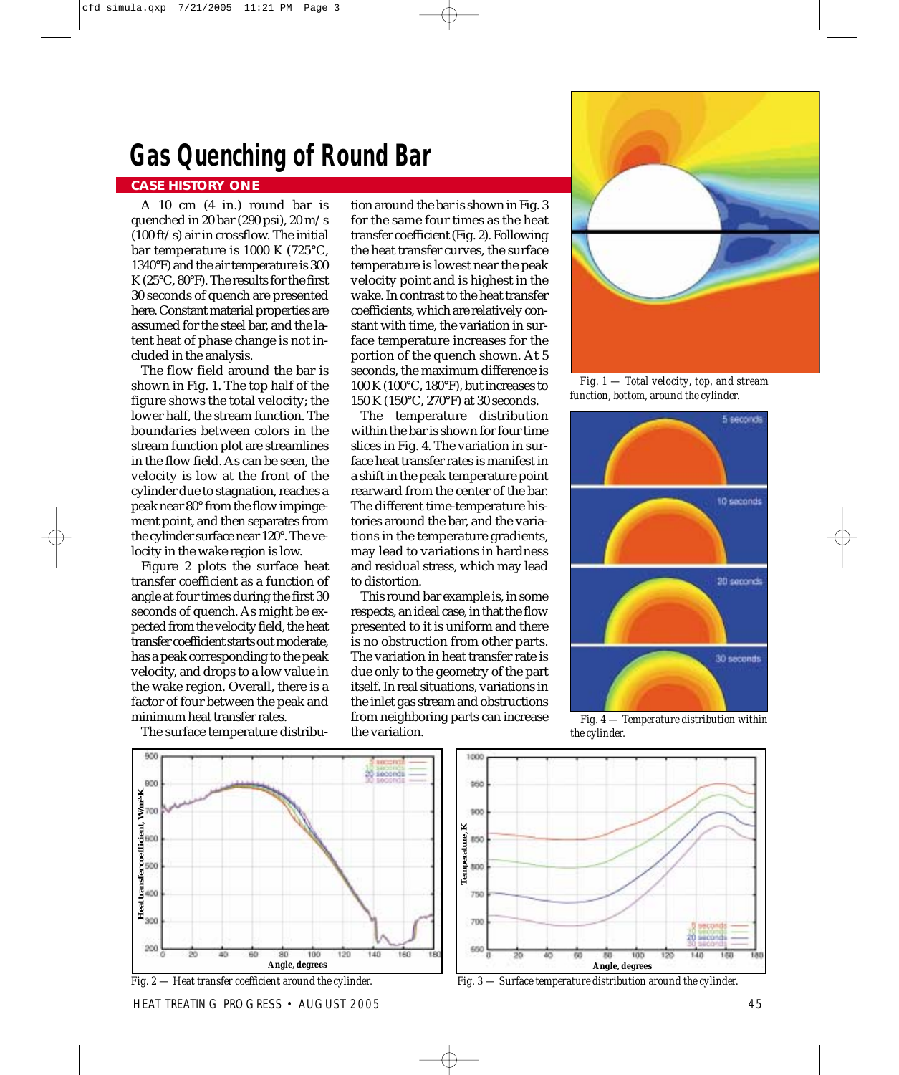### **Gas Quenching of Round Bar**

### **CASE HISTORY ONE**

A 10 cm (4 in.) round bar is quenched in 20 bar (290 psi), 20 m/s (100 ft/s) air in crossflow. The initial bar temperature is 1000 K (725°C, 1340°F) and the air temperature is 300 K (25°C, 80°F). The results for the first 30 seconds of quench are presented here. Constant material properties are assumed for the steel bar, and the latent heat of phase change is not included in the analysis.

The flow field around the bar is shown in Fig. 1. The top half of the figure shows the total velocity; the lower half, the stream function. The boundaries between colors in the stream function plot are streamlines in the flow field. As can be seen, the velocity is low at the front of the cylinder due to stagnation, reaches a peak near 80° from the flow impingement point, and then separates from the cylinder surface near 120°. The velocity in the wake region is low.

Figure 2 plots the surface heat transfer coefficient as a function of angle at four times during the first 30 seconds of quench. As might be expected from the velocity field, the heat transfer coefficient starts out moderate, has a peak corresponding to the peak velocity, and drops to a low value in the wake region. Overall, there is a factor of four between the peak and minimum heat transfer rates.

The surface temperature distribu-

tion around the bar is shown in Fig. 3 for the same four times as the heat transfer coefficient (Fig. 2). Following the heat transfer curves, the surface temperature is lowest near the peak velocity point and is highest in the wake. In contrast to the heat transfer coefficients, which are relatively constant with time, the variation in surface temperature increases for the portion of the quench shown. At 5 seconds, the maximum difference is 100 K (100°C, 180°F), but increases to 150 K (150°C, 270°F) at 30 seconds.

The temperature distribution within the bar is shown for four time slices in Fig. 4. The variation in surface heat transfer rates is manifest in a shift in the peak temperature point rearward from the center of the bar. The different time-temperature histories around the bar, and the variations in the temperature gradients, may lead to variations in hardness and residual stress, which may lead to distortion.

This round bar example is, in some respects, an ideal case, in that the flow presented to it is uniform and there is no obstruction from other parts. The variation in heat transfer rate is due only to the geometry of the part itself. In real situations, variations in the inlet gas stream and obstructions from neighboring parts can increase the variation.



*Fig. 1 — Total velocity, top, and stream function, bottom, around the cylinder.*



*Fig. 4 — Temperature distribution within the cylinder.*





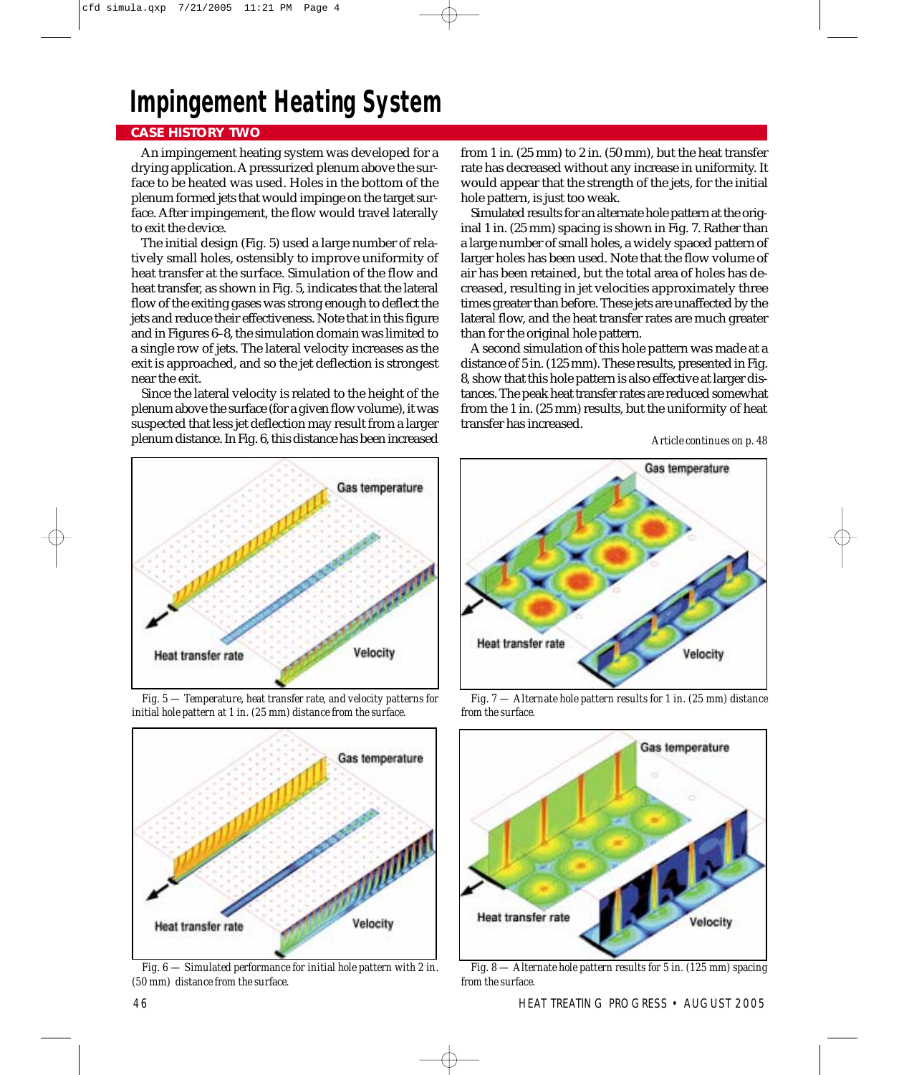### **Impingement Heating System**

### **CASE HISTORY TWO**

An impingement heating system was developed for a drying application. A pressurized plenum above the surface to be heated was used. Holes in the bottom of the plenum formed jets that would impinge on the target surface. After impingement, the flow would travel laterally to exit the device.

The initial design (Fig. 5) used a large number of relatively small holes, ostensibly to improve uniformity of heat transfer at the surface. Simulation of the flow and heat transfer, as shown in Fig. 5, indicates that the lateral flow of the exiting gases was strong enough to deflect the jets and reduce their effectiveness. Note that in this figure and in Figures 6–8, the simulation domain was limited to a single row of jets. The lateral velocity increases as the exit is approached, and so the jet deflection is strongest near the exit.

Since the lateral velocity is related to the height of the plenum above the surface (for a given flow volume), it was suspected that less jet deflection may result from a larger plenum distance. In Fig. 6, this distance has been increased

from 1 in. (25 mm) to 2 in. (50 mm), but the heat transfer rate has decreased without any increase in uniformity. It would appear that the strength of the jets, for the initial hole pattern, is just too weak.

Simulated results for an alternate hole pattern at the original 1 in. (25 mm) spacing is shown in Fig. 7. Rather than a large number of small holes, a widely spaced pattern of larger holes has been used. Note that the flow volume of air has been retained, but the total area of holes has decreased, resulting in jet velocities approximately three times greater than before. These jets are unaffected by the lateral flow, and the heat transfer rates are much greater than for the original hole pattern.

A second simulation of this hole pattern was made at a distance of 5 in. (125 mm). These results, presented in Fig. 8, show that this hole pattern is also effective at larger distances. The peak heat transfer rates are reduced somewhat from the 1 in. (25 mm) results, but the uniformity of heat transfer has increased.



*Fig. 5 — Temperature, heat transfer rate, and velocity patterns for initial hole pattern at 1 in. (25 mm) distance from the surface.*



*Fig. 6 — Simulated performance for initial hole pattern with 2 in. (50 mm) distance from the surface.*



*Fig. 7 — Alternate hole pattern results for 1 in. (25 mm) distance from the surface.*



*Fig. 8 — Alternate hole pattern results for 5 in. (125 mm) spacing from the surface.*

*Article continues on p. 48*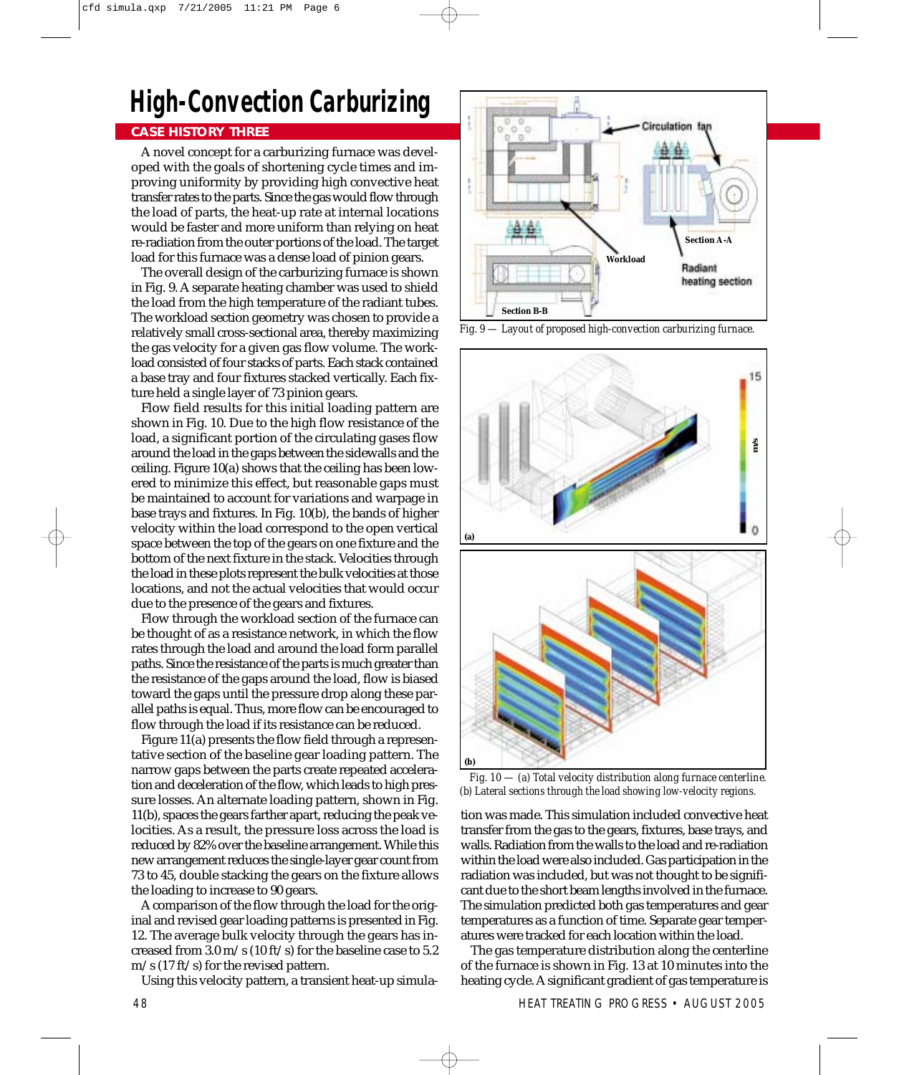## **High-Convection Carburizing**

### **CASE HISTORY THREE**

A novel concept for a carburizing furnace was developed with the goals of shortening cycle times and improving uniformity by providing high convective heat transfer rates to the parts. Since the gas would flow through the load of parts, the heat-up rate at internal locations would be faster and more uniform than relying on heat re-radiation from the outer portions of the load. The target load for this furnace was a dense load of pinion gears.

The overall design of the carburizing furnace is shown in Fig. 9. A separate heating chamber was used to shield the load from the high temperature of the radiant tubes. The workload section geometry was chosen to provide a relatively small cross-sectional area, thereby maximizing the gas velocity for a given gas flow volume. The workload consisted of four stacks of parts. Each stack contained a base tray and four fixtures stacked vertically. Each fixture held a single layer of 73 pinion gears.

Flow field results for this initial loading pattern are shown in Fig. 10. Due to the high flow resistance of the load, a significant portion of the circulating gases flow around the load in the gaps between the sidewalls and the ceiling. Figure 10(a) shows that the ceiling has been lowered to minimize this effect, but reasonable gaps must be maintained to account for variations and warpage in base trays and fixtures. In Fig. 10(b), the bands of higher velocity within the load correspond to the open vertical space between the top of the gears on one fixture and the bottom of the next fixture in the stack. Velocities through the load in these plots represent the bulk velocities at those locations, and not the actual velocities that would occur due to the presence of the gears and fixtures.

Flow through the workload section of the furnace can be thought of as a resistance network, in which the flow rates through the load and around the load form parallel paths. Since the resistance of the parts is much greater than the resistance of the gaps around the load, flow is biased toward the gaps until the pressure drop along these parallel paths is equal. Thus, more flow can be encouraged to flow through the load if its resistance can be reduced.

Figure 11(a) presents the flow field through a representative section of the baseline gear loading pattern. The narrow gaps between the parts create repeated acceleration and deceleration of the flow, which leads to high pressure losses. An alternate loading pattern, shown in Fig. 11(b), spaces the gears farther apart, reducing the peak velocities. As a result, the pressure loss across the load is reduced by 82% over the baseline arrangement. While this new arrangement reduces the single-layer gear count from 73 to 45, double stacking the gears on the fixture allows the loading to increase to 90 gears.

A comparison of the flow through the load for the original and revised gear loading patterns is presented in Fig. 12. The average bulk velocity through the gears has increased from 3.0 m/s (10 ft/s) for the baseline case to 5.2 m/s (17 ft/s) for the revised pattern.

Using this velocity pattern, a transient heat-up simula-



*Fig. 9 — Layout of proposed high-convection carburizing furnace.*



*Fig. 10 — (a) Total velocity distribution along furnace centerline.*

tion was made. This simulation included convective heat transfer from the gas to the gears, fixtures, base trays, and walls. Radiation from the walls to the load and re-radiation within the load were also included. Gas participation in the radiation was included, but was not thought to be significant due to the short beam lengths involved in the furnace. The simulation predicted both gas temperatures and gear temperatures as a function of time. Separate gear temperatures were tracked for each location within the load.

The gas temperature distribution along the centerline of the furnace is shown in Fig. 13 at 10 minutes into the heating cycle. A significant gradient of gas temperature is